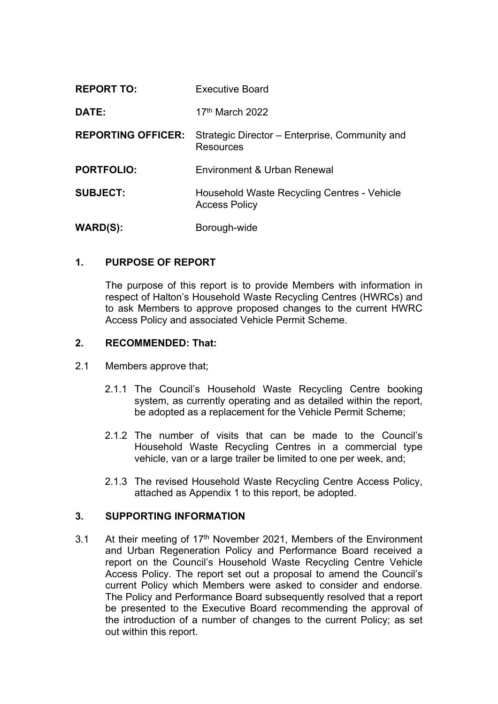| <b>REPORT TO:</b>         | Executive Board                                                     |
|---------------------------|---------------------------------------------------------------------|
| DATE:                     | 17 <sup>th</sup> March 2022                                         |
| <b>REPORTING OFFICER:</b> | Strategic Director – Enterprise, Community and<br><b>Resources</b>  |
| <b>PORTFOLIO:</b>         | Environment & Urban Renewal                                         |
| <b>SUBJECT:</b>           | Household Waste Recycling Centres - Vehicle<br><b>Access Policy</b> |
| <b>WARD(S):</b>           | Borough-wide                                                        |

### **1. PURPOSE OF REPORT**

The purpose of this report is to provide Members with information in respect of Halton's Household Waste Recycling Centres (HWRCs) and to ask Members to approve proposed changes to the current HWRC Access Policy and associated Vehicle Permit Scheme.

#### **2. RECOMMENDED: That:**

- 2.1 Members approve that;
	- 2.1.1 The Council's Household Waste Recycling Centre booking system, as currently operating and as detailed within the report, be adopted as a replacement for the Vehicle Permit Scheme;
	- 2.1.2 The number of visits that can be made to the Council's Household Waste Recycling Centres in a commercial type vehicle, van or a large trailer be limited to one per week, and;
	- 2.1.3 The revised Household Waste Recycling Centre Access Policy, attached as Appendix 1 to this report, be adopted.

### **3. SUPPORTING INFORMATION**

3.1 At their meeting of 17<sup>th</sup> November 2021, Members of the Environment and Urban Regeneration Policy and Performance Board received a report on the Council's Household Waste Recycling Centre Vehicle Access Policy. The report set out a proposal to amend the Council's current Policy which Members were asked to consider and endorse. The Policy and Performance Board subsequently resolved that a report be presented to the Executive Board recommending the approval of the introduction of a number of changes to the current Policy; as set out within this report.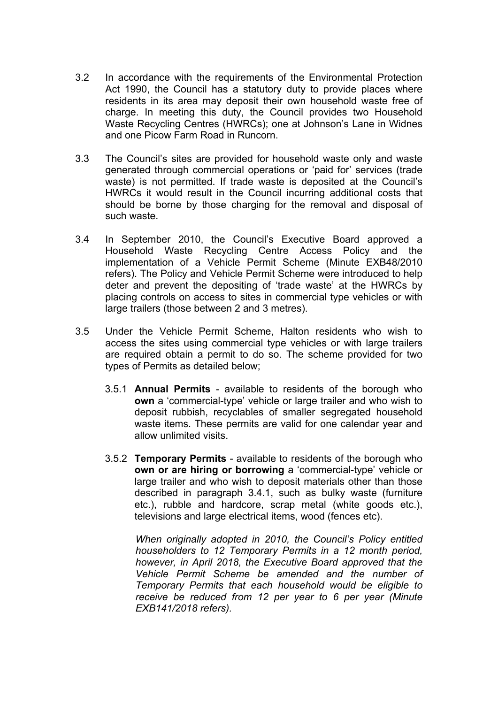- 3.2 In accordance with the requirements of the Environmental Protection Act 1990, the Council has a statutory duty to provide places where residents in its area may deposit their own household waste free of charge. In meeting this duty, the Council provides two Household Waste Recycling Centres (HWRCs); one at Johnson's Lane in Widnes and one Picow Farm Road in Runcorn.
- 3.3 The Council's sites are provided for household waste only and waste generated through commercial operations or 'paid for' services (trade waste) is not permitted. If trade waste is deposited at the Council's HWRCs it would result in the Council incurring additional costs that should be borne by those charging for the removal and disposal of such waste.
- 3.4 In September 2010, the Council's Executive Board approved a Household Waste Recycling Centre Access Policy and the implementation of a Vehicle Permit Scheme (Minute EXB48/2010 refers). The Policy and Vehicle Permit Scheme were introduced to help deter and prevent the depositing of 'trade waste' at the HWRCs by placing controls on access to sites in commercial type vehicles or with large trailers (those between 2 and 3 metres).
- 3.5 Under the Vehicle Permit Scheme, Halton residents who wish to access the sites using commercial type vehicles or with large trailers are required obtain a permit to do so. The scheme provided for two types of Permits as detailed below;
	- 3.5.1 **Annual Permits** available to residents of the borough who **own** a 'commercial-type' vehicle or large trailer and who wish to deposit rubbish, recyclables of smaller segregated household waste items. These permits are valid for one calendar year and allow unlimited visits.
	- 3.5.2 **Temporary Permits** available to residents of the borough who **own or are hiring or borrowing** a 'commercial-type' vehicle or large trailer and who wish to deposit materials other than those described in paragraph 3.4.1, such as bulky waste (furniture etc.), rubble and hardcore, scrap metal (white goods etc.), televisions and large electrical items, wood (fences etc).

*When originally adopted in 2010, the Council's Policy entitled householders to 12 Temporary Permits in a 12 month period, however, in April 2018, the Executive Board approved that the Vehicle Permit Scheme be amended and the number of Temporary Permits that each household would be eligible to receive be reduced from 12 per year to 6 per year (Minute EXB141/2018 refers).*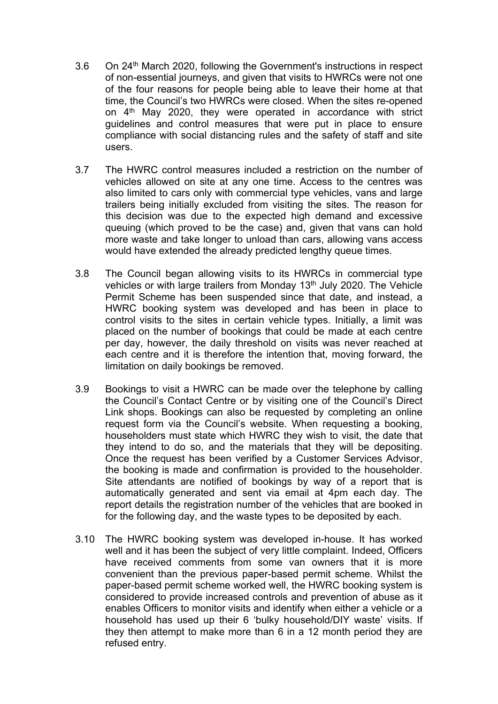- 3.6 On 24th March 2020, following the Government's instructions in respect of non-essential journeys, and given that visits to HWRCs were not one of the four reasons for people being able to leave their home at that time, the Council's two HWRCs were closed. When the sites re-opened on 4<sup>th</sup> May 2020, they were operated in accordance with strict guidelines and control measures that were put in place to ensure compliance with social distancing rules and the safety of staff and site users.
- 3.7 The HWRC control measures included a restriction on the number of vehicles allowed on site at any one time. Access to the centres was also limited to cars only with commercial type vehicles, vans and large trailers being initially excluded from visiting the sites. The reason for this decision was due to the expected high demand and excessive queuing (which proved to be the case) and, given that vans can hold more waste and take longer to unload than cars, allowing vans access would have extended the already predicted lengthy queue times.
- 3.8 The Council began allowing visits to its HWRCs in commercial type vehicles or with large trailers from Monday 13<sup>th</sup> July 2020. The Vehicle Permit Scheme has been suspended since that date, and instead, a HWRC booking system was developed and has been in place to control visits to the sites in certain vehicle types. Initially, a limit was placed on the number of bookings that could be made at each centre per day, however, the daily threshold on visits was never reached at each centre and it is therefore the intention that, moving forward, the limitation on daily bookings be removed.
- 3.9 Bookings to visit a HWRC can be made over the telephone by calling the Council's Contact Centre or by visiting one of the Council's Direct Link shops. Bookings can also be requested by completing an online request form via the Council's website. When requesting a booking, householders must state which HWRC they wish to visit, the date that they intend to do so, and the materials that they will be depositing. Once the request has been verified by a Customer Services Advisor, the booking is made and confirmation is provided to the householder. Site attendants are notified of bookings by way of a report that is automatically generated and sent via email at 4pm each day. The report details the registration number of the vehicles that are booked in for the following day, and the waste types to be deposited by each.
- 3.10 The HWRC booking system was developed in-house. It has worked well and it has been the subject of very little complaint. Indeed, Officers have received comments from some van owners that it is more convenient than the previous paper-based permit scheme. Whilst the paper-based permit scheme worked well, the HWRC booking system is considered to provide increased controls and prevention of abuse as it enables Officers to monitor visits and identify when either a vehicle or a household has used up their 6 'bulky household/DIY waste' visits. If they then attempt to make more than 6 in a 12 month period they are refused entry.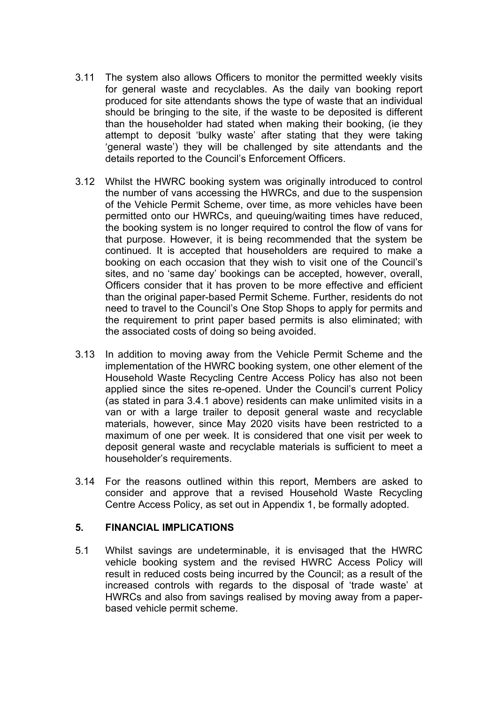- 3.11 The system also allows Officers to monitor the permitted weekly visits for general waste and recyclables. As the daily van booking report produced for site attendants shows the type of waste that an individual should be bringing to the site, if the waste to be deposited is different than the householder had stated when making their booking, (ie they attempt to deposit 'bulky waste' after stating that they were taking 'general waste') they will be challenged by site attendants and the details reported to the Council's Enforcement Officers.
- 3.12 Whilst the HWRC booking system was originally introduced to control the number of vans accessing the HWRCs, and due to the suspension of the Vehicle Permit Scheme, over time, as more vehicles have been permitted onto our HWRCs, and queuing/waiting times have reduced, the booking system is no longer required to control the flow of vans for that purpose. However, it is being recommended that the system be continued. It is accepted that householders are required to make a booking on each occasion that they wish to visit one of the Council's sites, and no 'same day' bookings can be accepted, however, overall, Officers consider that it has proven to be more effective and efficient than the original paper-based Permit Scheme. Further, residents do not need to travel to the Council's One Stop Shops to apply for permits and the requirement to print paper based permits is also eliminated; with the associated costs of doing so being avoided.
- 3.13 In addition to moving away from the Vehicle Permit Scheme and the implementation of the HWRC booking system, one other element of the Household Waste Recycling Centre Access Policy has also not been applied since the sites re-opened. Under the Council's current Policy (as stated in para 3.4.1 above) residents can make unlimited visits in a van or with a large trailer to deposit general waste and recyclable materials, however, since May 2020 visits have been restricted to a maximum of one per week. It is considered that one visit per week to deposit general waste and recyclable materials is sufficient to meet a householder's requirements.
- 3.14 For the reasons outlined within this report, Members are asked to consider and approve that a revised Household Waste Recycling Centre Access Policy, as set out in Appendix 1, be formally adopted.

### **5. FINANCIAL IMPLICATIONS**

5.1 Whilst savings are undeterminable, it is envisaged that the HWRC vehicle booking system and the revised HWRC Access Policy will result in reduced costs being incurred by the Council; as a result of the increased controls with regards to the disposal of 'trade waste' at HWRCs and also from savings realised by moving away from a paperbased vehicle permit scheme.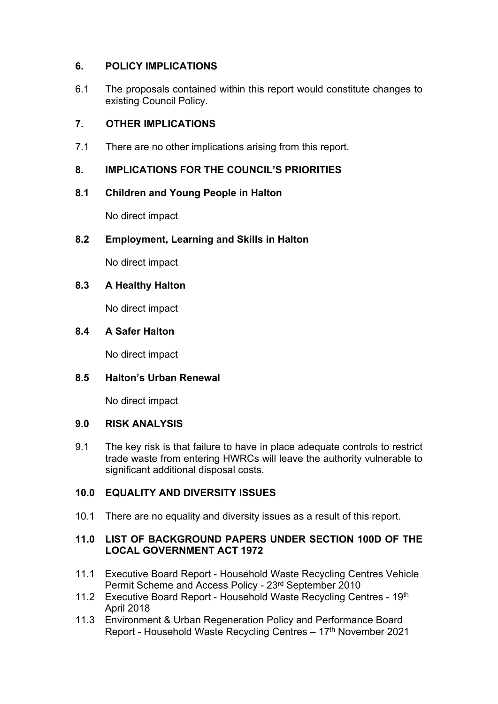# **6. POLICY IMPLICATIONS**

6.1 The proposals contained within this report would constitute changes to existing Council Policy.

## **7. OTHER IMPLICATIONS**

7.1 There are no other implications arising from this report.

# **8. IMPLICATIONS FOR THE COUNCIL'S PRIORITIES**

### **8.1 Children and Young People in Halton**

No direct impact

### **8.2 Employment, Learning and Skills in Halton**

No direct impact

### **8.3 A Healthy Halton**

No direct impact

### **8.4 A Safer Halton**

No direct impact

### **8.5 Halton's Urban Renewal**

No direct impact

### **9.0 RISK ANALYSIS**

9.1 The key risk is that failure to have in place adequate controls to restrict trade waste from entering HWRCs will leave the authority vulnerable to significant additional disposal costs.

# **10.0 EQUALITY AND DIVERSITY ISSUES**

10.1 There are no equality and diversity issues as a result of this report.

### **11.0 LIST OF BACKGROUND PAPERS UNDER SECTION 100D OF THE LOCAL GOVERNMENT ACT 1972**

- 11.1 Executive Board Report Household Waste Recycling Centres Vehicle Permit Scheme and Access Policy - 23rd September 2010
- 11.2 Executive Board Report Household Waste Recycling Centres 19th April 2018
- 11.3 Environment & Urban Regeneration Policy and Performance Board Report - Household Waste Recycling Centres – 17<sup>th</sup> November 2021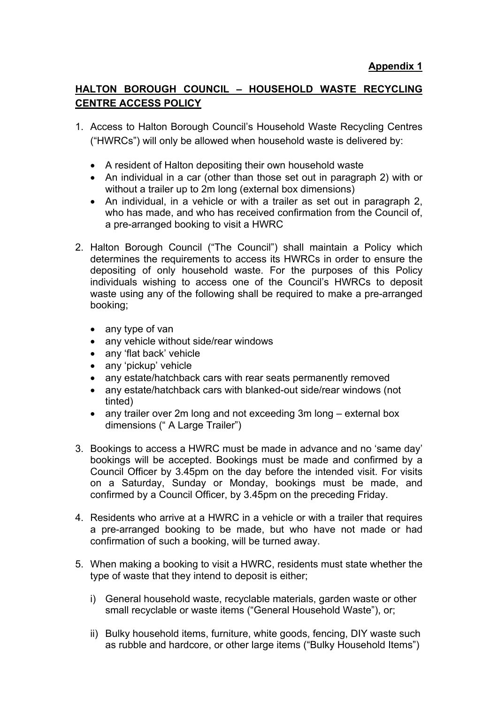# **HALTON BOROUGH COUNCIL – HOUSEHOLD WASTE RECYCLING CENTRE ACCESS POLICY**

- 1. Access to Halton Borough Council's Household Waste Recycling Centres ("HWRCs") will only be allowed when household waste is delivered by:
	- A resident of Halton depositing their own household waste
	- An individual in a car (other than those set out in paragraph 2) with or without a trailer up to 2m long (external box dimensions)
	- An individual, in a vehicle or with a trailer as set out in paragraph 2, who has made, and who has received confirmation from the Council of, a pre-arranged booking to visit a HWRC
- 2. Halton Borough Council ("The Council") shall maintain a Policy which determines the requirements to access its HWRCs in order to ensure the depositing of only household waste. For the purposes of this Policy individuals wishing to access one of the Council's HWRCs to deposit waste using any of the following shall be required to make a pre-arranged booking;
	- any type of van
	- any vehicle without side/rear windows
	- any 'flat back' vehicle
	- any 'pickup' vehicle
	- any estate/hatchback cars with rear seats permanently removed
	- any estate/hatchback cars with blanked-out side/rear windows (not tinted)
	- any trailer over 2m long and not exceeding 3m long external box dimensions (" A Large Trailer")
- 3. Bookings to access a HWRC must be made in advance and no 'same day' bookings will be accepted. Bookings must be made and confirmed by a Council Officer by 3.45pm on the day before the intended visit. For visits on a Saturday, Sunday or Monday, bookings must be made, and confirmed by a Council Officer, by 3.45pm on the preceding Friday.
- 4. Residents who arrive at a HWRC in a vehicle or with a trailer that requires a pre-arranged booking to be made, but who have not made or had confirmation of such a booking, will be turned away.
- 5. When making a booking to visit a HWRC, residents must state whether the type of waste that they intend to deposit is either;
	- i) General household waste, recyclable materials, garden waste or other small recyclable or waste items ("General Household Waste"), or;
	- ii) Bulky household items, furniture, white goods, fencing, DIY waste such as rubble and hardcore, or other large items ("Bulky Household Items")